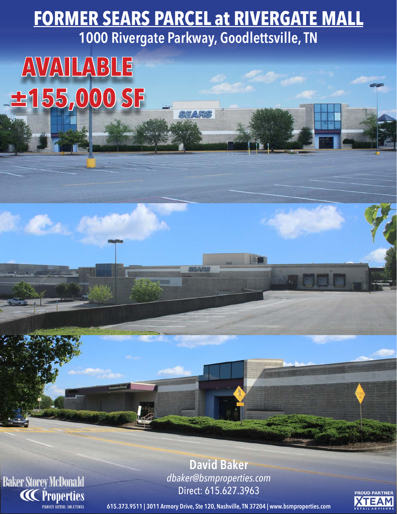**FORMER SEARS PARCEL at RIVERGATE MALL 1000 Rivergate Parkway, Goodlettsville, TN**

EARS

## **AVAILABLE ±155,000 SF**

**Baker Storey McDonald**<br>CC Properties

**David Baker** *dbaker@bsmproperties.com* Direct: 615.627.3963

**PROUD PARTNER XTEAM** 

**615.373.9511 | 3011 Armory Drive, Ste 120, Nashville, TN 37204 | www.bsmproperties.com**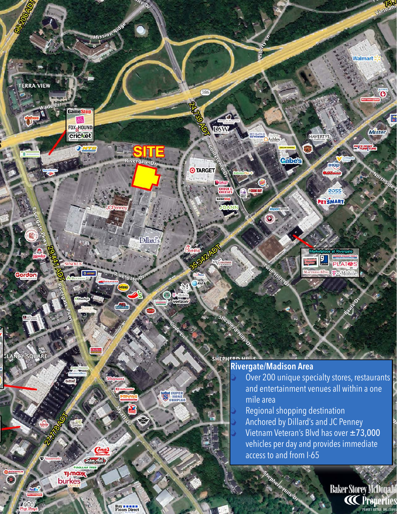

SUPER HOME

**T<sub>J</sub>-max**<br>burkes

**Buy a manufacturer** 

 $\bigcirc$ 

and entertainment venues all within a one mile area Regional shopping destination Anchored by Dillard's and JC Penney Vietnam Veteran's Blvd has over ±73,000 vehicles per day and provides immediate access to and from I-65

> **Baker Storey McDonald CC** Properties PROVEY RETAIL SOLUTIONS